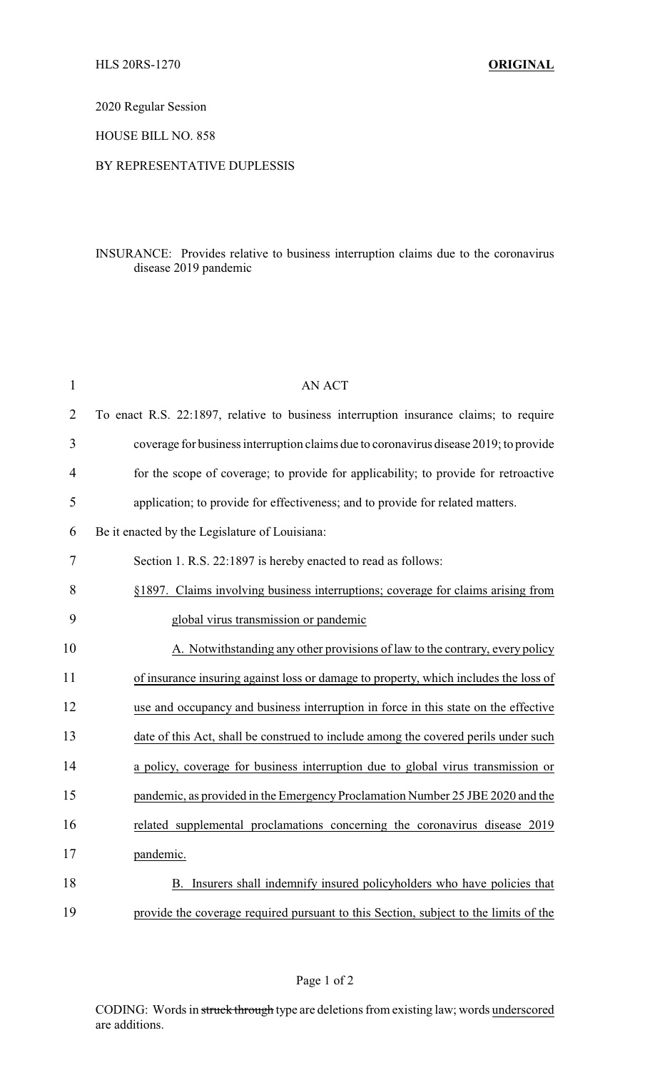2020 Regular Session

HOUSE BILL NO. 858

## BY REPRESENTATIVE DUPLESSIS

## INSURANCE: Provides relative to business interruption claims due to the coronavirus disease 2019 pandemic

| $\mathbf{1}$   | <b>AN ACT</b>                                                                         |  |  |
|----------------|---------------------------------------------------------------------------------------|--|--|
| $\overline{2}$ | To enact R.S. 22:1897, relative to business interruption insurance claims; to require |  |  |
| 3              | coverage for business interruption claims due to coronavirus disease 2019; to provide |  |  |
| $\overline{4}$ | for the scope of coverage; to provide for applicability; to provide for retroactive   |  |  |
| 5              | application; to provide for effectiveness; and to provide for related matters.        |  |  |
| 6              | Be it enacted by the Legislature of Louisiana:                                        |  |  |
| 7              | Section 1. R.S. 22:1897 is hereby enacted to read as follows:                         |  |  |
| 8              | §1897. Claims involving business interruptions; coverage for claims arising from      |  |  |
| 9              | global virus transmission or pandemic                                                 |  |  |
| 10             | A. Notwithstanding any other provisions of law to the contrary, every policy          |  |  |
| 11             | of insurance insuring against loss or damage to property, which includes the loss of  |  |  |
| 12             | use and occupancy and business interruption in force in this state on the effective   |  |  |
| 13             | date of this Act, shall be construed to include among the covered perils under such   |  |  |
| 14             | a policy, coverage for business interruption due to global virus transmission or      |  |  |
| 15             | pandemic, as provided in the Emergency Proclamation Number 25 JBE 2020 and the        |  |  |
| 16             | related supplemental proclamations concerning the coronavirus disease 2019            |  |  |
| 17             | pandemic.                                                                             |  |  |
| 18             | Insurers shall indemnify insured policyholders who have policies that<br>В.           |  |  |
| 19             | provide the coverage required pursuant to this Section, subject to the limits of the  |  |  |